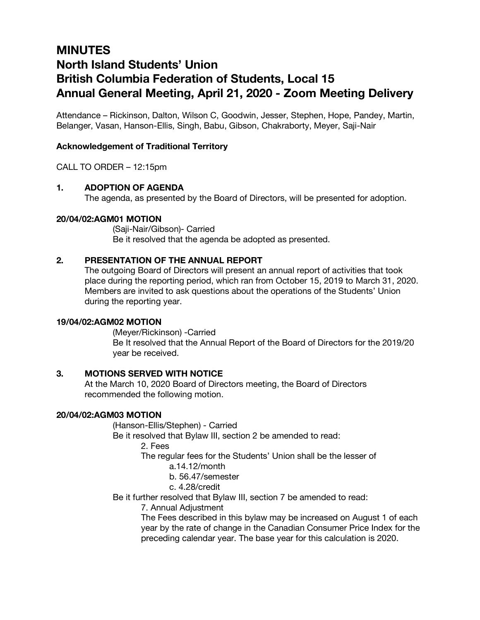# **MINUTES North Island Students' Union British Columbia Federation of Students, Local 15 Annual General Meeting, April 21, 2020 - Zoom Meeting Delivery**

Attendance – Rickinson, Dalton, Wilson C, Goodwin, Jesser, Stephen, Hope, Pandey, Martin, Belanger, Vasan, Hanson-Ellis, Singh, Babu, Gibson, Chakraborty, Meyer, Saji-Nair

## **Acknowledgement of Traditional Territory**

CALL TO ORDER – 12:15pm

## **1. ADOPTION OF AGENDA**

The agenda, as presented by the Board of Directors, will be presented for adoption.

## **20/04/02:AGM01 MOTION**

(Saji-Nair/Gibson)- Carried Be it resolved that the agenda be adopted as presented.

## **2. PRESENTATION OF THE ANNUAL REPORT**

The outgoing Board of Directors will present an annual report of activities that took place during the reporting period, which ran from October 15, 2019 to March 31, 2020. Members are invited to ask questions about the operations of the Students' Union during the reporting year.

## **19/04/02:AGM02 MOTION**

(Meyer/Rickinson) -Carried Be It resolved that the Annual Report of the Board of Directors for the 2019/20 year be received.

## **3. MOTIONS SERVED WITH NOTICE**

At the March 10, 2020 Board of Directors meeting, the Board of Directors recommended the following motion.

## **20/04/02:AGM03 MOTION**

(Hanson-Ellis/Stephen) - Carried

Be it resolved that Bylaw III, section 2 be amended to read:

2. Fees

The regular fees for the Students' Union shall be the lesser of

a.14.12/month

b. 56.47/semester

## c. 4.28/credit

Be it further resolved that Bylaw III, section 7 be amended to read:

7. Annual Adjustment

The Fees described in this bylaw may be increased on August 1 of each year by the rate of change in the Canadian Consumer Price Index for the preceding calendar year. The base year for this calculation is 2020.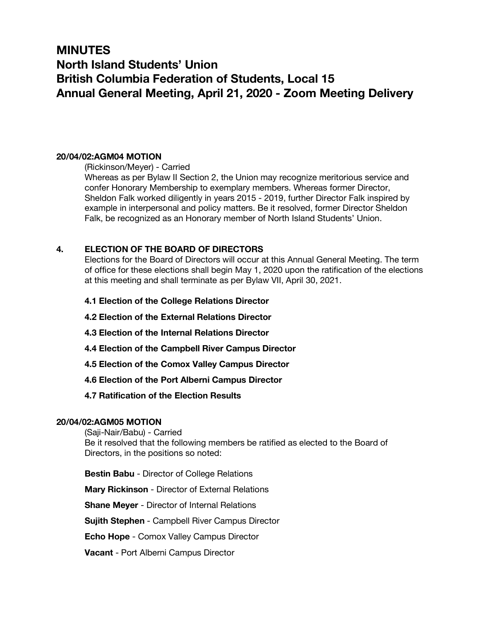# **MINUTES North Island Students' Union British Columbia Federation of Students, Local 15 Annual General Meeting, April 21, 2020 - Zoom Meeting Delivery**

## **20/04/02:AGM04 MOTION**

(Rickinson/Meyer) - Carried

Whereas as per Bylaw II Section 2, the Union may recognize meritorious service and confer Honorary Membership to exemplary members. Whereas former Director, Sheldon Falk worked diligently in years 2015 - 2019, further Director Falk inspired by example in interpersonal and policy matters. Be it resolved, former Director Sheldon Falk, be recognized as an Honorary member of North Island Students' Union.

## **4. ELECTION OF THE BOARD OF DIRECTORS**

Elections for the Board of Directors will occur at this Annual General Meeting. The term of office for these elections shall begin May 1, 2020 upon the ratification of the elections at this meeting and shall terminate as per Bylaw VII, April 30, 2021.

- **4.1 Election of the College Relations Director**
- **4.2 Election of the External Relations Director**
- **4.3 Election of the Internal Relations Director**
- **4.4 Election of the Campbell River Campus Director**
- **4.5 Election of the Comox Valley Campus Director**
- **4.6 Election of the Port Alberni Campus Director**
- **4.7 Ratification of the Election Results**

## **20/04/02:AGM05 MOTION**

(Saji-Nair/Babu) - Carried Be it resolved that the following members be ratified as elected to the Board of Directors, in the positions so noted:

**Bestin Babu** - Director of College Relations

**Mary Rickinson** - Director of External Relations

**Shane Meyer** - Director of Internal Relations

**Sujith Stephen** - Campbell River Campus Director

**Echo Hope** - Comox Valley Campus Director

**Vacant** - Port Alberni Campus Director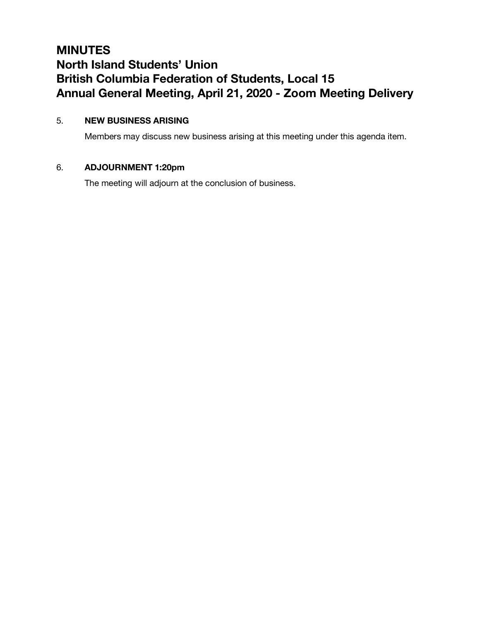# **MINUTES North Island Students' Union British Columbia Federation of Students, Local 15 Annual General Meeting, April 21, 2020 - Zoom Meeting Delivery**

## 5. **NEW BUSINESS ARISING**

Members may discuss new business arising at this meeting under this agenda item.

## 6. **ADJOURNMENT 1:20pm**

The meeting will adjourn at the conclusion of business.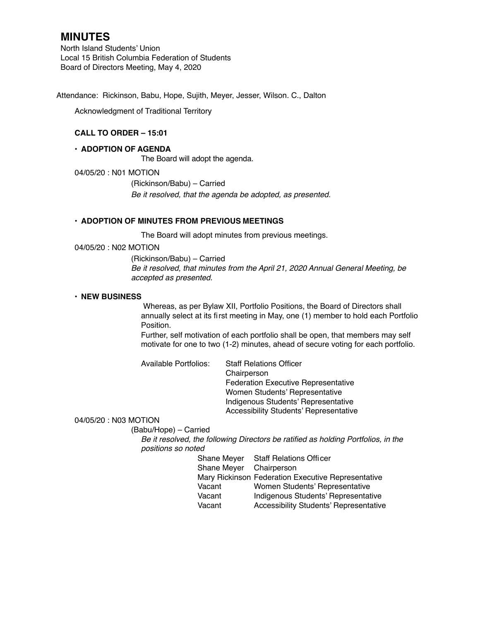North Island Students' Union Local 15 British Columbia Federation of Students Board of Directors Meeting, May 4, 2020

Attendance: Rickinson, Babu, Hope, Sujith, Meyer, Jesser, Wilson. C., Dalton

Acknowledgment of Traditional Territory

## **CALL TO ORDER – 15:01**

#### **• ADOPTION OF AGENDA**

The Board will adopt the agenda.

04/05/20 : N01 MOTION

(Rickinson/Babu) – Carried *Be it resolved, that the agenda be adopted, as presented.*

#### **• ADOPTION OF MINUTES FROM PREVIOUS MEETINGS**

The Board will adopt minutes from previous meetings.

04/05/20 : N02 MOTION

(Rickinson/Babu) – Carried *Be it resolved, that minutes from the April 21, 2020 Annual General Meeting, be accepted as presented.*

#### **• NEW BUSINESS**

Whereas, as per Bylaw XII, Portfolio Positions, the Board of Directors shall annually select at its first meeting in May, one (1) member to hold each Portfolio Position.

Further, self motivation of each portfolio shall be open, that members may self motivate for one to two (1-2) minutes, ahead of secure voting for each portfolio.

| Available Portfolios: | <b>Staff Relations Officer</b>             |
|-----------------------|--------------------------------------------|
|                       | Chairperson                                |
|                       | <b>Federation Executive Representative</b> |
|                       | Women Students' Representative             |
|                       | Indigenous Students' Representative        |
|                       | Accessibility Students' Representative     |

#### 04/05/20 : N03 MOTION

(Babu/Hope) – Carried

*Be it resolved, the following Directors be ratified as holding Portfolios, in the positions so noted* 

| Shane Meyer             | <b>Staff Relations Officer</b>                     |
|-------------------------|----------------------------------------------------|
| Shane Meyer Chairperson |                                                    |
|                         | Mary Rickinson Federation Executive Representative |
| Vacant                  | Women Students' Representative                     |
| Vacant                  | Indigenous Students' Representative                |
| Vacant                  | <b>Accessibility Students' Representative</b>      |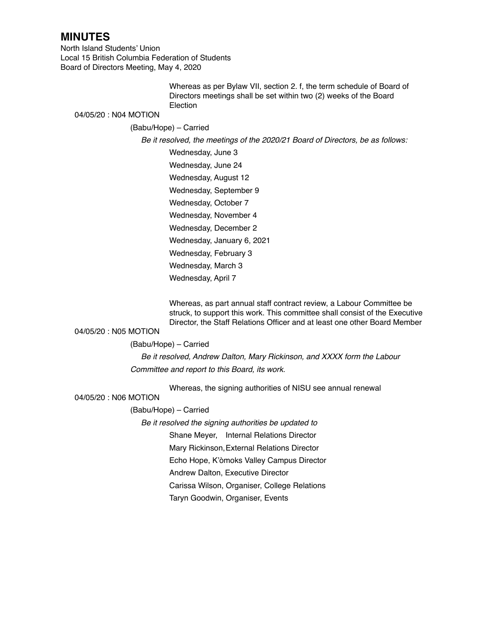North Island Students' Union Local 15 British Columbia Federation of Students Board of Directors Meeting, May 4, 2020

> Whereas as per Bylaw VII, section 2. f, the term schedule of Board of Directors meetings shall be set within two (2) weeks of the Board **Election**

## 04/05/20 : N04 MOTION

## (Babu/Hope) – Carried

*Be it resolved, the meetings of the 2020/21 Board of Directors, be as follows:*

Wednesday, June 3 Wednesday, June 24 Wednesday, August 12 Wednesday, September 9 Wednesday, October 7 Wednesday, November 4 Wednesday, December 2 Wednesday, January 6, 2021 Wednesday, February 3 Wednesday, March 3 Wednesday, April 7

Whereas, as part annual staff contract review, a Labour Committee be struck, to support this work. This committee shall consist of the Executive Director, the Staff Relations Officer and at least one other Board Member

## 04/05/20 : N05 MOTION

#### (Babu/Hope) – Carried

*Be it resolved, Andrew Dalton, Mary Rickinson, and XXXX form the Labour Committee and report to this Board, its work.*

Whereas, the signing authorities of NISU see annual renewal

#### 04/05/20 : N06 MOTION

#### (Babu/Hope) – Carried

*Be it resolved the signing authorities be updated to* 

Shane Meyer, Internal Relations Director

Mary Rickinson,External Relations Director

Echo Hope, K'òmoks Valley Campus Director

Andrew Dalton, Executive Director

Carissa Wilson, Organiser, College Relations

Taryn Goodwin, Organiser, Events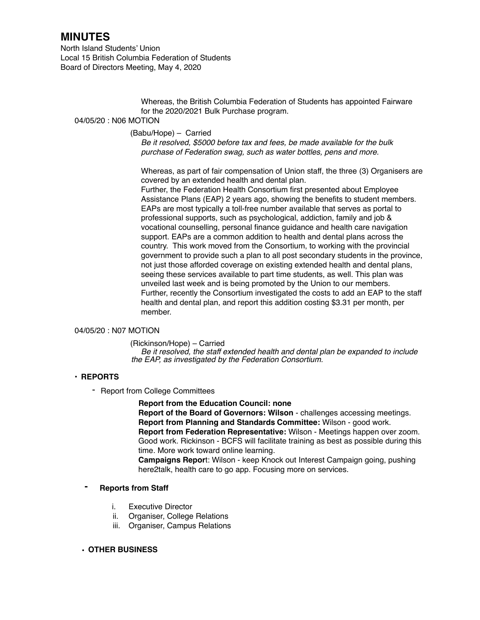North Island Students' Union Local 15 British Columbia Federation of Students Board of Directors Meeting, May 4, 2020

> Whereas, the British Columbia Federation of Students has appointed Fairware for the 2020/2021 Bulk Purchase program.

### 04/05/20 : N06 MOTION

#### (Babu/Hope) – Carried

 *Be it resolved, \$5000 before tax and fees, be made available for the bulk purchase of Federation swag, such as water bottles, pens and more.* 

Whereas, as part of fair compensation of Union staff, the three (3) Organisers are covered by an extended health and dental plan.

Further, the Federation Health Consortium first presented about Employee Assistance Plans (EAP) 2 years ago, showing the benefits to student members. EAPs are most typically a toll-free number available that serves as portal to professional supports, such as psychological, addiction, family and job & vocational counselling, personal finance guidance and health care navigation support. EAPs are a common addition to health and dental plans across the country. This work moved from the Consortium, to working with the provincial government to provide such a plan to all post secondary students in the province, not just those afforded coverage on existing extended health and dental plans, seeing these services available to part time students, as well. This plan was unveiled last week and is being promoted by the Union to our members. Further, recently the Consortium investigated the costs to add an EAP to the staff health and dental plan, and report this addition costing \$3.31 per month, per member.

#### 04/05/20 : N07 MOTION

(Rickinson/Hope) – Carried *Be it resolved, the staff extended health and dental plan be expanded to include the EAP, as investigated by the Federation Consortium.*

#### **• REPORTS**

- Report from College Committees

**Report from the Education Council: none**

**Report of the Board of Governors: Wilson** - challenges accessing meetings. **Report from Planning and Standards Committee:** Wilson - good work. **Report from Federation Representative:** Wilson - Meetings happen over zoom. Good work. Rickinson - BCFS will facilitate training as best as possible during this time. More work toward online learning.

**Campaigns Repor**t: Wilson - keep Knock out Interest Campaign going, pushing here2talk, health care to go app. Focusing more on services.

#### **- Reports from Staff**

- i. Executive Director
- ii. Organiser, College Relations
- iii. Organiser, Campus Relations

#### **• OTHER BUSINESS**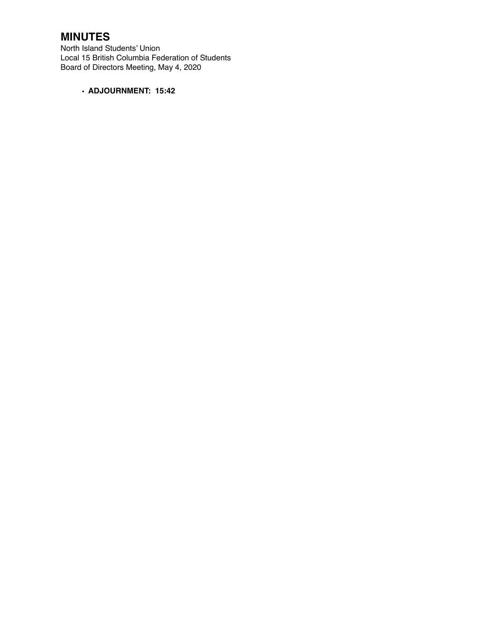North Island Students' Union Local 15 British Columbia Federation of Students Board of Directors Meeting, May 4, 2020

**• ADJOURNMENT: 15:42**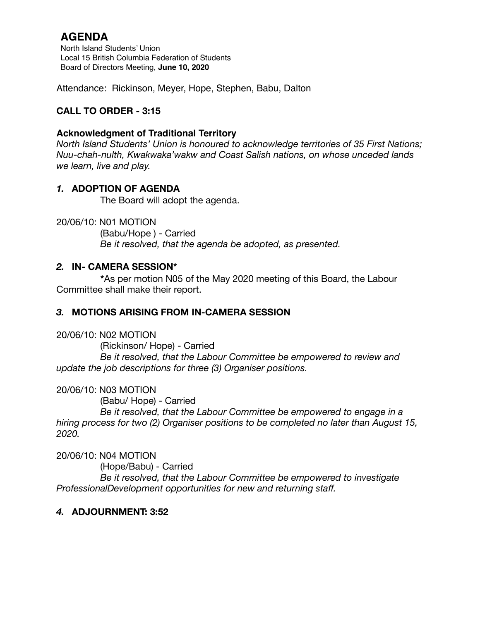North Island Students' Union Local 15 British Columbia Federation of Students Board of Directors Meeting, **June 10, 2020**

Attendance: Rickinson, Meyer, Hope, Stephen, Babu, Dalton

# **CALL TO ORDER - 3:15**

## **Acknowledgment of Traditional Territory**

*North Island Students' Union is honoured to acknowledge territories of 35 First Nations; Nuu-chah-nulth, Kwakwaka'wakw and Coast Salish nations, on whose unceded lands we learn, live and play.*

## *1.* **ADOPTION OF AGENDA**

The Board will adopt the agenda.

20/06/10: N01 MOTION

 (Babu/Hope ) - Carried *Be it resolved, that the agenda be adopted, as presented.* 

## *2.* **IN- CAMERA SESSION\***

**\***As per motion N05 of the May 2020 meeting of this Board, the Labour Committee shall make their report.

## *3.* **MOTIONS ARISING FROM IN-CAMERA SESSION**

20/06/10: N02 MOTION

 (Rickinson/ Hope) - Carried *Be it resolved, that the Labour Committee be empowered to review and update the job descriptions for three (3) Organiser positions.* 

20/06/10: N03 MOTION

 (Babu/ Hope) - Carried

 *Be it resolved, that the Labour Committee be empowered to engage in a hiring process for two (2) Organiser positions to be completed no later than August 15, 2020.* 

20/06/10: N04 MOTION

 (Hope/Babu) - Carried

 *Be it resolved, that the Labour Committee be empowered to investigate ProfessionalDevelopment opportunities for new and returning staff.*

## *4.* **ADJOURNMENT: 3:52**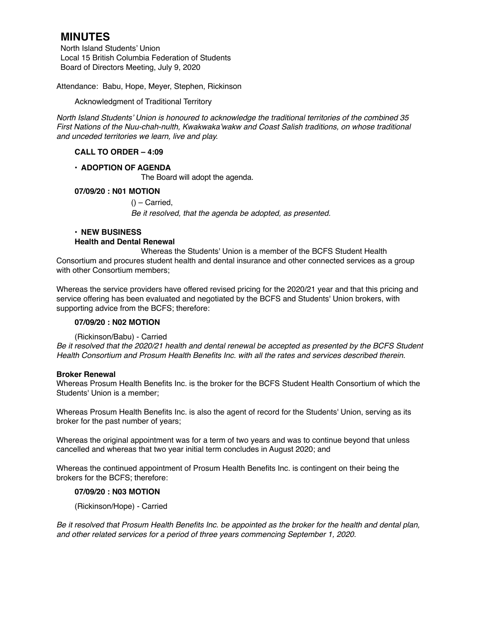North Island Students' Union Local 15 British Columbia Federation of Students Board of Directors Meeting, July 9, 2020

Attendance: Babu, Hope, Meyer, Stephen, Rickinson

Acknowledgment of Traditional Territory

*North Island Students' Union is honoured to acknowledge the traditional territories of the combined 35 First Nations of the Nuu-chah-nulth, Kwakwaka'wakw and Coast Salish traditions, on whose traditional and unceded territories we learn, live and play.*

## **CALL TO ORDER – 4:09**

## **• ADOPTION OF AGENDA**

The Board will adopt the agenda.

## **07/09/20 : N01 MOTION**

 $()$  – Carried, *Be it resolved, that the agenda be adopted, as presented.*

## **• NEW BUSINESS Health and Dental Renewal**

Whereas the Students' Union is a member of the BCFS Student Health Consortium and procures student health and dental insurance and other connected services as a group with other Consortium members;

Whereas the service providers have offered revised pricing for the 2020/21 year and that this pricing and service offering has been evaluated and negotiated by the BCFS and Students' Union brokers, with supporting advice from the BCFS; therefore:

## **07/09/20 : N02 MOTION**

## (Rickinson/Babu) - Carried

*Be it resolved that the 2020/21 health and dental renewal be accepted as presented by the BCFS Student Health Consortium and Prosum Health Benefits Inc. with all the rates and services described therein.*

## **Broker Renewal**

Whereas Prosum Health Benefits Inc. is the broker for the BCFS Student Health Consortium of which the Students' Union is a member;

Whereas Prosum Health Benefits Inc. is also the agent of record for the Students' Union, serving as its broker for the past number of years;

Whereas the original appointment was for a term of two years and was to continue beyond that unless cancelled and whereas that two year initial term concludes in August 2020; and

Whereas the continued appointment of Prosum Health Benefits Inc. is contingent on their being the brokers for the BCFS; therefore:

## **07/09/20 : N03 MOTION**

(Rickinson/Hope) - Carried

*Be it resolved that Prosum Health Benefits Inc. be appointed as the broker for the health and dental plan, and other related services for a period of three years commencing September 1, 2020.*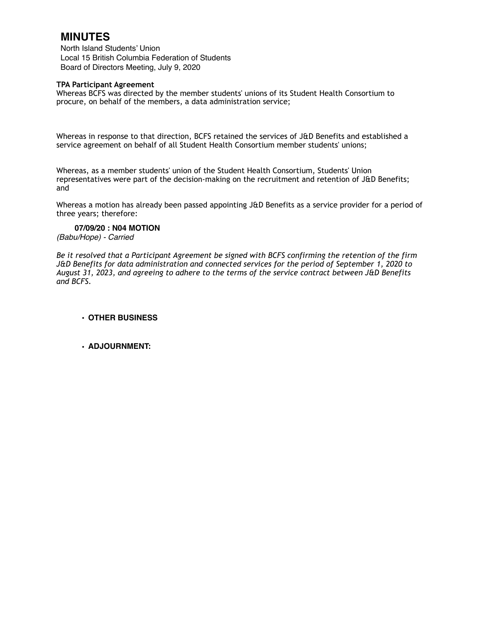North Island Students' Union Local 15 British Columbia Federation of Students Board of Directors Meeting, July 9, 2020

#### **TPA Participant Agreement**

Whereas BCFS was directed by the member students' unions of its Student Health Consortium to procure, on behalf of the members, a data administration service;

Whereas in response to that direction, BCFS retained the services of J&D Benefits and established a service agreement on behalf of all Student Health Consortium member students' unions;

Whereas, as a member students' union of the Student Health Consortium, Students' Union representatives were part of the decision-making on the recruitment and retention of J&D Benefits; and

Whereas a motion has already been passed appointing J&D Benefits as a service provider for a period of three years; therefore:

### **07/09/20 : N04 MOTION**

*(Babu/Hope) - Carried* 

*Be it resolved that a Participant Agreement be signed with BCFS confirming the retention of the firm J&D Benefits for data administration and connected services for the period of September 1, 2020 to August 31, 2023, and agreeing to adhere to the terms of the service contract between J&D Benefits and BCFS.*

#### **• OTHER BUSINESS**

#### **• ADJOURNMENT:**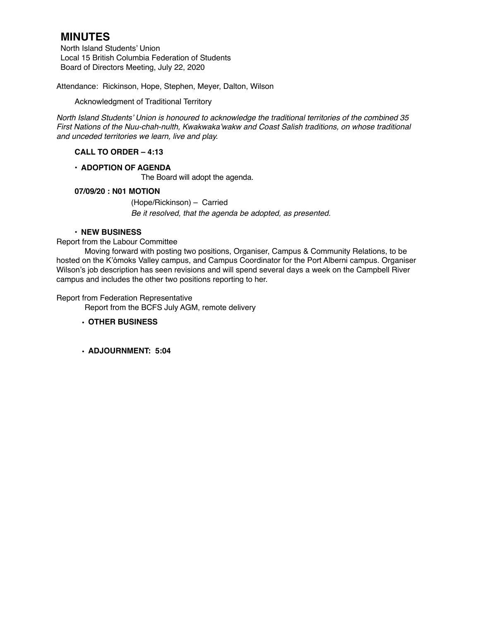North Island Students' Union Local 15 British Columbia Federation of Students Board of Directors Meeting, July 22, 2020

Attendance: Rickinson, Hope, Stephen, Meyer, Dalton, Wilson

Acknowledgment of Traditional Territory

*North Island Students' Union is honoured to acknowledge the traditional territories of the combined 35 First Nations of the Nuu-chah-nulth, Kwakwaka'wakw and Coast Salish traditions, on whose traditional and unceded territories we learn, live and play.*

## **CALL TO ORDER – 4:13**

## **• ADOPTION OF AGENDA**

The Board will adopt the agenda.

## **07/09/20 : N01 MOTION**

(Hope/Rickinson) – Carried *Be it resolved, that the agenda be adopted, as presented.*

#### **• NEW BUSINESS**

#### Report from the Labour Committee

Moving forward with posting two positions, Organiser, Campus & Community Relations, to be hosted on the K'ómoks Valley campus, and Campus Coordinator for the Port Alberni campus. Organiser Wilson's job description has seen revisions and will spend several days a week on the Campbell River campus and includes the other two positions reporting to her.

Report from Federation Representative

Report from the BCFS July AGM, remote delivery

## **• OTHER BUSINESS**

**• ADJOURNMENT: 5:04**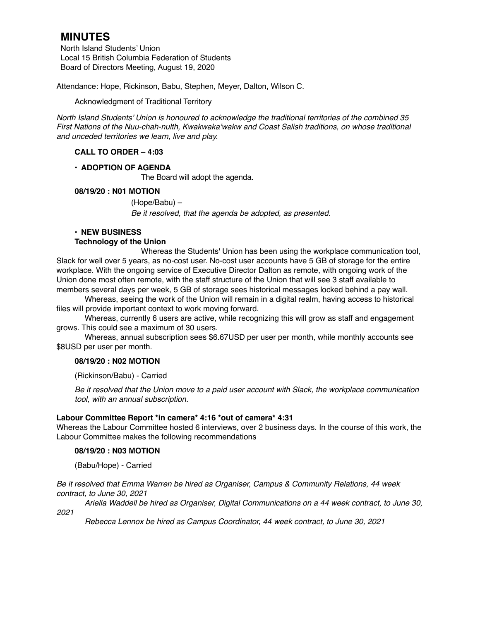North Island Students' Union Local 15 British Columbia Federation of Students Board of Directors Meeting, August 19, 2020

Attendance: Hope, Rickinson, Babu, Stephen, Meyer, Dalton, Wilson C.

Acknowledgment of Traditional Territory

*North Island Students' Union is honoured to acknowledge the traditional territories of the combined 35 First Nations of the Nuu-chah-nulth, Kwakwaka'wakw and Coast Salish traditions, on whose traditional and unceded territories we learn, live and play.*

## **CALL TO ORDER – 4:03**

## **• ADOPTION OF AGENDA**

The Board will adopt the agenda.

#### **08/19/20 : N01 MOTION**

(Hope/Babu) – *Be it resolved, that the agenda be adopted, as presented.*

## **• NEW BUSINESS**

#### **Technology of the Union**

Whereas the Students' Union has been using the workplace communication tool, Slack for well over 5 years, as no-cost user. No-cost user accounts have 5 GB of storage for the entire workplace. With the ongoing service of Executive Director Dalton as remote, with ongoing work of the Union done most often remote, with the staff structure of the Union that will see 3 staff available to members several days per week, 5 GB of storage sees historical messages locked behind a pay wall.

Whereas, seeing the work of the Union will remain in a digital realm, having access to historical files will provide important context to work moving forward.

Whereas, currently 6 users are active, while recognizing this will grow as staff and engagement grows. This could see a maximum of 30 users.

Whereas, annual subscription sees \$6.67USD per user per month, while monthly accounts see \$8USD per user per month.

## **08/19/20 : N02 MOTION**

(Rickinson/Babu) - Carried

*Be it resolved that the Union move to a paid user account with Slack, the workplace communication tool, with an annual subscription.* 

## **Labour Committee Report \*in camera\* 4:16 \*out of camera\* 4:31**

Whereas the Labour Committee hosted 6 interviews, over 2 business days. In the course of this work, the Labour Committee makes the following recommendations

#### **08/19/20 : N03 MOTION**

(Babu/Hope) - Carried

*Be it resolved that Emma Warren be hired as Organiser, Campus & Community Relations, 44 week contract, to June 30, 2021*

*Ariella Waddell be hired as Organiser, Digital Communications on a 44 week contract, to June 30, 2021*

*Rebecca Lennox be hired as Campus Coordinator, 44 week contract, to June 30, 2021*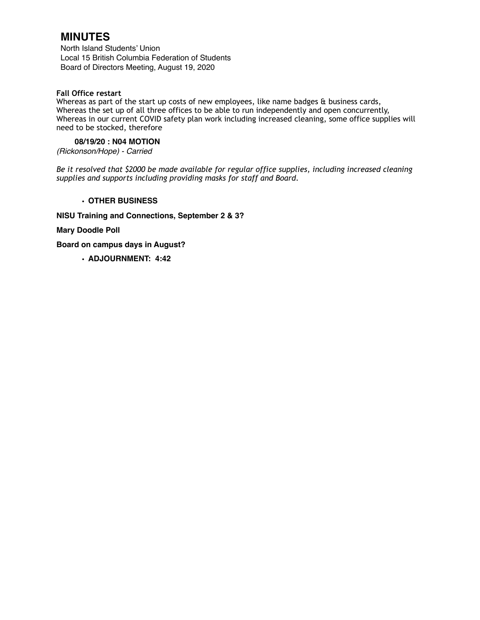North Island Students' Union Local 15 British Columbia Federation of Students Board of Directors Meeting, August 19, 2020

## **Fall Office restart**

Whereas as part of the start up costs of new employees, like name badges & business cards, Whereas the set up of all three offices to be able to run independently and open concurrently, Whereas in our current COVID safety plan work including increased cleaning, some office supplies will need to be stocked, therefore

### **08/19/20 : N04 MOTION**

*(Rickonson/Hope) - Carried* 

*Be it resolved that \$2000 be made available for regular office supplies, including increased cleaning supplies and supports including providing masks for staff and Board.* 

#### **• OTHER BUSINESS**

**NISU Training and Connections, September 2 & 3?**

**Mary Doodle Poll**

**Board on campus days in August?**

**• ADJOURNMENT: 4:42**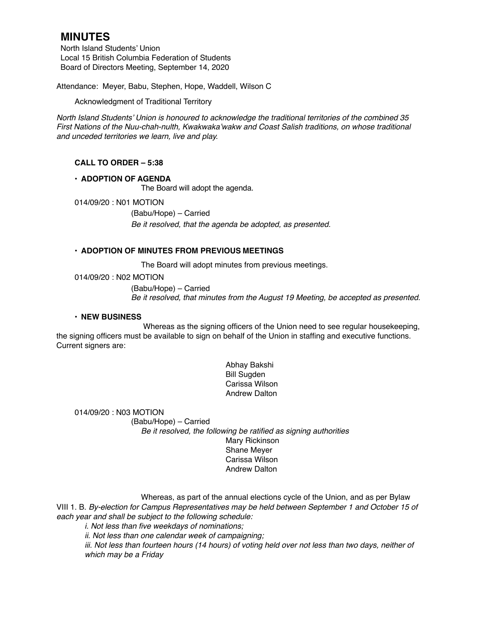North Island Students' Union Local 15 British Columbia Federation of Students Board of Directors Meeting, September 14, 2020

Attendance: Meyer, Babu, Stephen, Hope, Waddell, Wilson C

Acknowledgment of Traditional Territory

*North Island Students' Union is honoured to acknowledge the traditional territories of the combined 35 First Nations of the Nuu-chah-nulth, Kwakwaka'wakw and Coast Salish traditions, on whose traditional and unceded territories we learn, live and play.*

## **CALL TO ORDER – 5:38**

## **• ADOPTION OF AGENDA**

The Board will adopt the agenda.

014/09/20 : N01 MOTION

(Babu/Hope) – Carried *Be it resolved, that the agenda be adopted, as presented.*

### **• ADOPTION OF MINUTES FROM PREVIOUS MEETINGS**

The Board will adopt minutes from previous meetings.

014/09/20 : N02 MOTION

(Babu/Hope) – Carried *Be it resolved, that minutes from the August 19 Meeting, be accepted as presented.*

#### **• NEW BUSINESS**

Whereas as the signing officers of the Union need to see regular housekeeping, the signing officers must be available to sign on behalf of the Union in staffing and executive functions. Current signers are:

> Abhay Bakshi Bill Sugden Carissa Wilson Andrew Dalton

014/09/20 : N03 MOTION (Babu/Hope) – Carried *Be it resolved, the following be ratified as signing authorities*  Mary Rickinson Shane Meyer Carissa Wilson Andrew Dalton

Whereas, as part of the annual elections cycle of the Union, and as per Bylaw VIII 1. B. *By-election for Campus Representatives may be held between September 1 and October 15 of each year and shall be subject to the following schedule:*

*i. Not less than five weekdays of nominations;*

*ii. Not less than one calendar week of campaigning;*

iii. Not less than fourteen hours (14 hours) of voting held over not less than two days, neither of *which may be a Friday*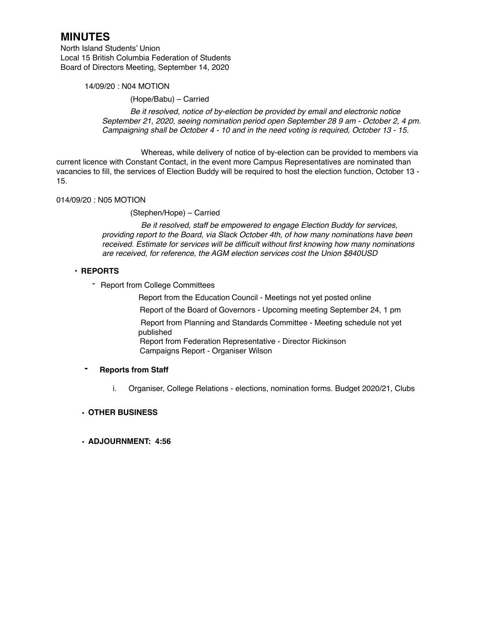North Island Students' Union Local 15 British Columbia Federation of Students Board of Directors Meeting, September 14, 2020

#### 14/09/20 : N04 MOTION

(Hope/Babu) – Carried

*Be it resolved, notice of by-election be provided by email and electronic notice September 21, 2020, seeing nomination period open September 28 9 am - October 2, 4 pm. Campaigning shall be October 4 - 10 and in the need voting is required, October 13 - 15.* 

Whereas, while delivery of notice of by-election can be provided to members via current licence with Constant Contact, in the event more Campus Representatives are nominated than vacancies to fill, the services of Election Buddy will be required to host the election function, October 13 - 15.

## 014/09/20 : N05 MOTION

(Stephen/Hope) – Carried

*Be it resolved, staff be empowered to engage Election Buddy for services, providing report to the Board, via Slack October 4th, of how many nominations have been received. Estimate for services will be difficult without first knowing how many nominations are received, for reference, the AGM election services cost the Union \$840USD* 

#### **• REPORTS**

- Report from College Committees

Report from the Education Council - Meetings not yet posted online

Report of the Board of Governors - Upcoming meeting September 24, 1 pm

 Report from Planning and Standards Committee - Meeting schedule not yet published

Report from Federation Representative - Director Rickinson Campaigns Report - Organiser Wilson

#### **- Reports from Staff**

i. Organiser, College Relations - elections, nomination forms. Budget 2020/21, Clubs

## **• OTHER BUSINESS**

#### **• ADJOURNMENT: 4:56**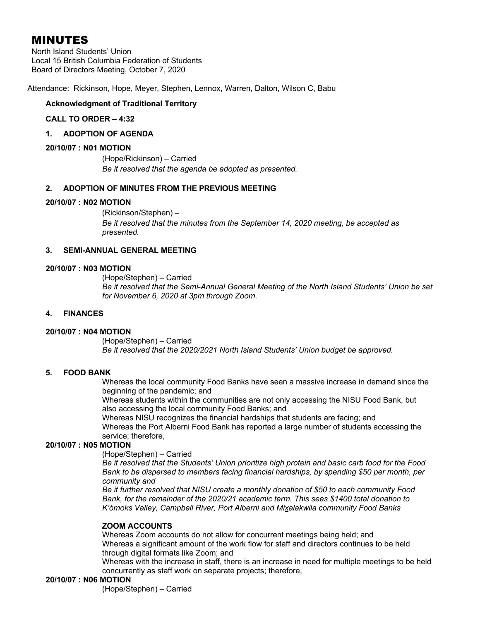North Island Students' Union Local 15 British Columbia Federation of Students Board of Directors Meeting, October 7, 2020

Attendance: Rickinson, Hope, Meyer, Stephen, Lennox, Warren, Dalton, Wilson C, Babu

## **Acknowledgment of Traditional Territory**

### **CALL TO ORDER – 4:32**

#### **1. ADOPTION OF AGENDA**

#### **20/10/07 : N01 MOTION**

(Hope/Rickinson) – Carried *Be it resolved that the agenda be adopted as presented.*

#### **2. ADOPTION OF MINUTES FROM THE PREVIOUS MEETING**

#### **20/10/07 : N02 MOTION**

(Rickinson/Stephen) – *Be it resolved that the minutes from the September 14, 2020 meeting, be accepted as presented.*

### **3. SEMI-ANNUAL GENERAL MEETING**

#### **20/10/07 : N03 MOTION**

(Hope/Stephen) – Carried *Be it resolved that the Semi-Annual General Meeting of the North Island Students' Union be set for November 6, 2020 at 3pm through Zoom*.

### **4. FINANCES**

## **20/10/07 : N04 MOTION**

(Hope/Stephen) – Carried *Be it resolved that the 2020/2021 North Island Students' Union budget be approved.* 

## **5. FOOD BANK**

Whereas the local community Food Banks have seen a massive increase in demand since the beginning of the pandemic; and

Whereas students within the communities are not only accessing the NISU Food Bank, but also accessing the local community Food Banks; and

Whereas NISU recognizes the financial hardships that students are facing; and

Whereas the Port Alberni Food Bank has reported a large number of students accessing the service; therefore,

#### **20/10/07 : N05 MOTION**

(Hope/Stephen) – Carried

*Be it resolved that the Students' Union prioritize high protein and basic carb food for the Food Bank to be dispersed to members facing financial hardships, by spending \$50 per month, per community and*

*Be it further resolved that NISU create a monthly donation of \$50 to each community Food Bank, for the remainder of the 2020/21 academic term. This sees \$1400 total donation to K'ómoks Valley, Campbell River, Port Alberni and Mixalakwila community Food Banks* 

## **ZOOM ACCOUNTS**

Whereas Zoom accounts do not allow for concurrent meetings being held; and Whereas a significant amount of the work flow for staff and directors continues to be held through digital formats like Zoom; and

Whereas with the increase in staff, there is an increase in need for multiple meetings to be held concurrently as staff work on separate projects; therefore,

## **20/10/07 : N06 MOTION**

(Hope/Stephen) – Carried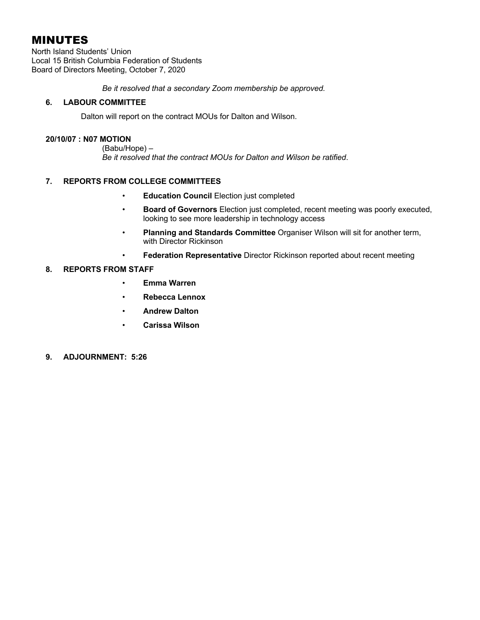North Island Students' Union Local 15 British Columbia Federation of Students Board of Directors Meeting, October 7, 2020

*Be it resolved that a secondary Zoom membership be approved.* 

## **6. LABOUR COMMITTEE**

Dalton will report on the contract MOUs for Dalton and Wilson.

### **20/10/07 : N07 MOTION**

(Babu/Hope) – *Be it resolved that the contract MOUs for Dalton and Wilson be ratified*.

## **7. REPORTS FROM COLLEGE COMMITTEES**

- **Education Council** Election just completed
- **Board of Governors** Election just completed, recent meeting was poorly executed, looking to see more leadership in technology access
- **Planning and Standards Committee** Organiser Wilson will sit for another term, with Director Rickinson
- **Federation Representative** Director Rickinson reported about recent meeting

## **8. REPORTS FROM STAFF**

- **Emma Warren**
- **Rebecca Lennox**
- **Andrew Dalton**
- **Carissa Wilson**
- **9. ADJOURNMENT: 5:26**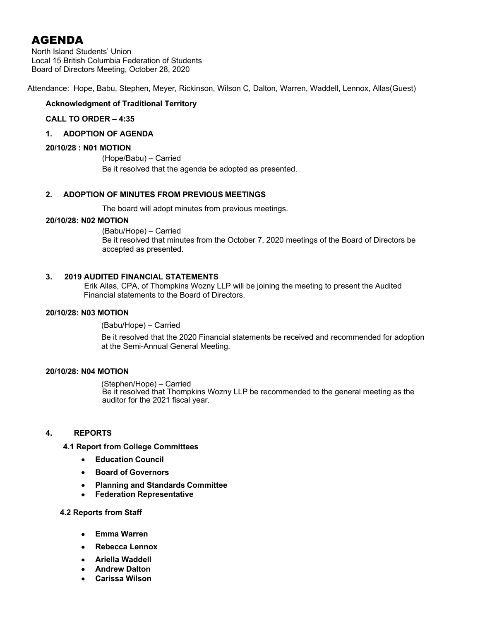North Island Students' Union Local 15 British Columbia Federation of Students Board of Directors Meeting, October 28, 2020

Attendance: Hope, Babu, Stephen, Meyer, Rickinson, Wilson C, Dalton, Warren, Waddell, Lennox, Allas(Guest)

## **Acknowledgment of Traditional Territory**

## **CALL TO ORDER – 4:35**

## **1. ADOPTION OF AGENDA**

### **20/10/28 : N01 MOTION**

(Hope/Babu) – Carried Be it resolved that the agenda be adopted as presented.

## **2. ADOPTION OF MINUTES FROM PREVIOUS MEETINGS**

The board will adopt minutes from previous meetings.

## **20/10/28: N02 MOTION**

(Babu/Hope) – Carried Be it resolved that minutes from the October 7, 2020 meetings of the Board of Directors be accepted as presented.

#### **3. 2019 AUDITED FINANCIAL STATEMENTS**

Erik Allas, CPA, of Thompkins Wozny LLP will be joining the meeting to present the Audited Financial statements to the Board of Directors.

#### **20/10/28: N03 MOTION**

(Babu/Hope) – Carried

Be it resolved that the 2020 Financial statements be received and recommended for adoption at the Semi-Annual General Meeting.

#### **20/10/28: N04 MOTION**

(Stephen/Hope) – Carried Be it resolved that Thompkins Wozny LLP be recommended to the general meeting as the auditor for the 2021 fiscal year.

## **4. REPORTS**

#### **4.1 Report from College Committees**

- **Education Council**
- **Board of Governors**
- **Planning and Standards Committee**
- **Federation Representative**

#### **4.2 Reports from Staff**

- **Emma Warren**
- **Rebecca Lennox**
- **Ariella Waddell**
- **Andrew Dalton**
- **Carissa Wilson**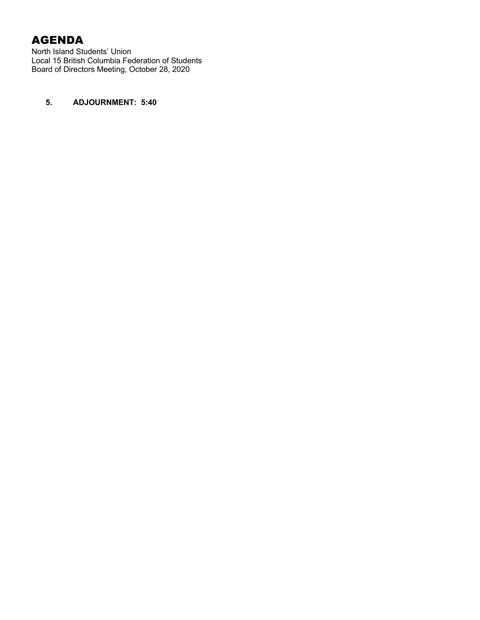North Island Students' Union Local 15 British Columbia Federation of Students Board of Directors Meeting, October 28, 2020

## **5. ADJOURNMENT: 5:40**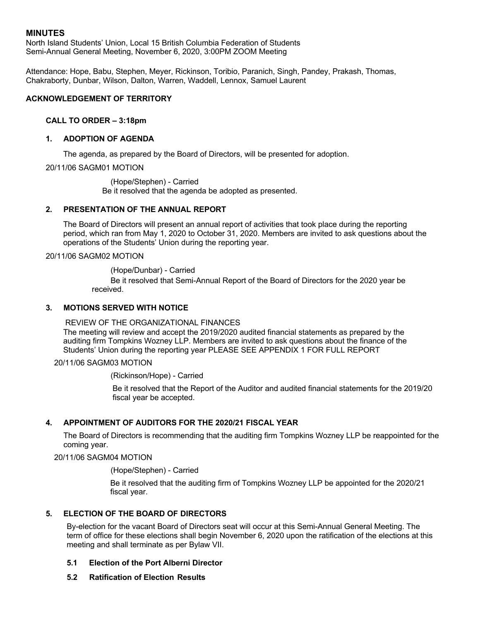North Island Students' Union, Local 15 British Columbia Federation of Students Semi-Annual General Meeting, November 6, 2020, 3:00PM ZOOM Meeting

Attendance: Hope, Babu, Stephen, Meyer, Rickinson, Toribio, Paranich, Singh, Pandey, Prakash, Thomas, Chakraborty, Dunbar, Wilson, Dalton, Warren, Waddell, Lennox, Samuel Laurent

### **ACKNOWLEDGEMENT OF TERRITORY**

#### **CALL TO ORDER – 3:18pm**

#### **1. ADOPTION OF AGENDA**

The agenda, as prepared by the Board of Directors, will be presented for adoption.

20/11/06 SAGM01 MOTION

(Hope/Stephen) - Carried Be it resolved that the agenda be adopted as presented.

#### **2. PRESENTATION OF THE ANNUAL REPORT**

The Board of Directors will present an annual report of activities that took place during the reporting period, which ran from May 1, 2020 to October 31, 2020. Members are invited to ask questions about the operations of the Students' Union during the reporting year.

20/11/06 SAGM02 MOTION

(Hope/Dunbar) - Carried

Be it resolved that Semi-Annual Report of the Board of Directors for the 2020 year be received.

#### **3. MOTIONS SERVED WITH NOTICE**

REVIEW OF THE ORGANIZATIONAL FINANCES The meeting will review and accept the 2019/2020 audited financial statements as prepared by the auditing firm Tompkins Wozney LLP. Members are invited to ask questions about the finance of the Students' Union during the reporting year PLEASE SEE APPENDIX 1 FOR FULL REPORT

20/11/06 SAGM03 MOTION

(Rickinson/Hope) - Carried

Be it resolved that the Report of the Auditor and audited financial statements for the 2019/20 fiscal year be accepted.

#### **4. APPOINTMENT OF AUDITORS FOR THE 2020/21 FISCAL YEAR**

The Board of Directors is recommending that the auditing firm Tompkins Wozney LLP be reappointed for the coming year.

20/11/06 SAGM04 MOTION

(Hope/Stephen) - Carried

Be it resolved that the auditing firm of Tompkins Wozney LLP be appointed for the 2020/21 fiscal year.

### **5. ELECTION OF THE BOARD OF DIRECTORS**

By-election for the vacant Board of Directors seat will occur at this Semi-Annual General Meeting. The term of office for these elections shall begin November 6, 2020 upon the ratification of the elections at this meeting and shall terminate as per Bylaw VII.

#### **5.1 Election of the Port Alberni Director**

**5.2 Ratification of Election Results**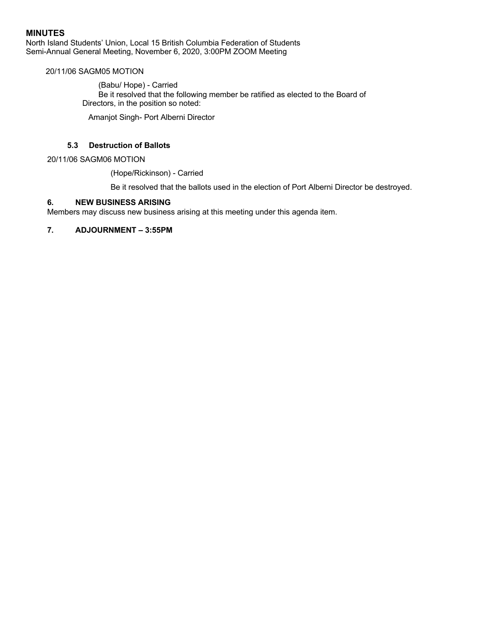North Island Students' Union, Local 15 British Columbia Federation of Students Semi-Annual General Meeting, November 6, 2020, 3:00PM ZOOM Meeting

### 20/11/06 SAGM05 MOTION

(Babu/ Hope) - Carried Be it resolved that the following member be ratified as elected to the Board of Directors, in the position so noted:

Amanjot Singh- Port Alberni Director

## **5.3 Destruction of Ballots**

20/11/06 SAGM06 MOTION

(Hope/Rickinson) - Carried

Be it resolved that the ballots used in the election of Port Alberni Director be destroyed.

#### **6. NEW BUSINESS ARISING**

Members may discuss new business arising at this meeting under this agenda item.

#### **7. ADJOURNMENT – 3:55PM**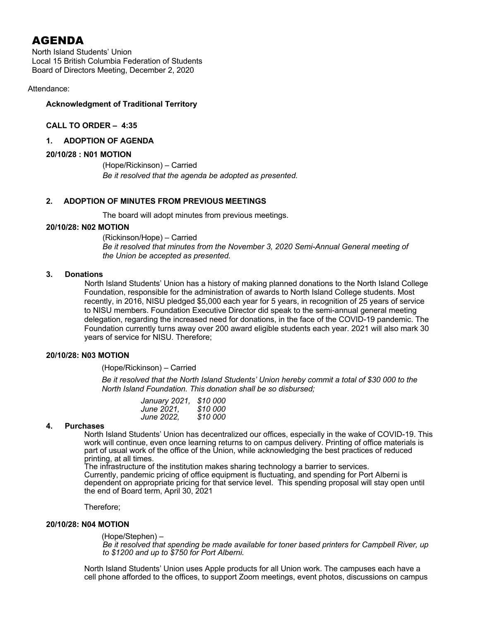North Island Students' Union Local 15 British Columbia Federation of Students Board of Directors Meeting, December 2, 2020

### Attendance:

#### **Acknowledgment of Traditional Territory**

### **CALL TO ORDER – 4:35**

#### **1. ADOPTION OF AGENDA**

#### **20/10/28 : N01 MOTION**

(Hope/Rickinson) – Carried *Be it resolved that the agenda be adopted as presented.*

#### **2. ADOPTION OF MINUTES FROM PREVIOUS MEETINGS**

The board will adopt minutes from previous meetings.

#### **20/10/28: N02 MOTION**

(Rickinson/Hope) – Carried *Be it resolved that minutes from the November 3, 2020 Semi-Annual General meeting of the Union be accepted as presented.*

#### **3. Donations**

North Island Students' Union has a history of making planned donations to the North Island College Foundation, responsible for the administration of awards to North Island College students. Most recently, in 2016, NISU pledged \$5,000 each year for 5 years, in recognition of 25 years of service to NISU members. Foundation Executive Director did speak to the semi-annual general meeting delegation, regarding the increased need for donations, in the face of the COVID-19 pandemic. The Foundation currently turns away over 200 award eligible students each year. 2021 will also mark 30 years of service for NISU. Therefore;

#### **20/10/28: N03 MOTION**

(Hope/Rickinson) – Carried

*Be it resolved that the North Island Students' Union hereby commit a total of \$30 000 to the North Island Foundation. This donation shall be so disbursed;*

| January 2021, | \$10 000 |
|---------------|----------|
| June 2021.    | \$10 000 |
| June 2022,    | \$10 000 |

#### **4. Purchases**

North Island Students' Union has decentralized our offices, especially in the wake of COVID-19. This work will continue, even once learning returns to on campus delivery. Printing of office materials is part of usual work of the office of the Union, while acknowledging the best practices of reduced printing, at all times.

The infrastructure of the institution makes sharing technology a barrier to services. Currently, pandemic pricing of office equipment is fluctuating, and spending for Port Alberni is dependent on appropriate pricing for that service level. This spending proposal will stay open until the end of Board term, April 30, 2021

Therefore;

#### **20/10/28: N04 MOTION**

(Hope/Stephen) –

*Be it resolved that spending be made available for toner based printers for Campbell River, up to \$1200 and up to \$750 for Port Alberni.* 

North Island Students' Union uses Apple products for all Union work. The campuses each have a cell phone afforded to the offices, to support Zoom meetings, event photos, discussions on campus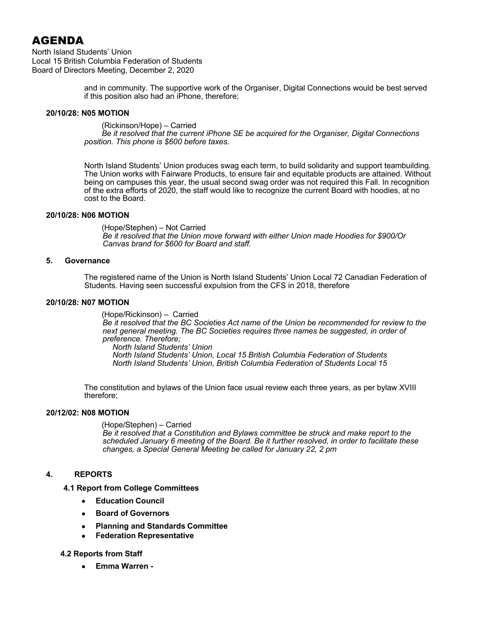North Island Students' Union Local 15 British Columbia Federation of Students Board of Directors Meeting, December 2, 2020

> and in community. The supportive work of the Organiser, Digital Connections would be best served if this position also had an iPhone, therefore;

#### **20/10/28: N05 MOTION**

(Rickinson/Hope) – Carried *Be it resolved that the current iPhone SE be acquired for the Organiser, Digital Connections position. This phone is \$600 before taxes.* 

North Island Students' Union produces swag each term, to build solidarity and support teambuilding. The Union works with Fairware Products, to ensure fair and equitable products are attained. Without being on campuses this year, the usual second swag order was not required this Fall. In recognition of the extra efforts of 2020, the staff would like to recognize the current Board with hoodies, at no cost to the Board.

#### **20/10/28: N06 MOTION**

(Hope/Stephen) – Not Carried *Be it resolved that the Union move forward with either Union made Hoodies for \$900/Or Canvas brand for \$600 for Board and staff.* 

#### **5. Governance**

The registered name of the Union is North Island Students' Union Local 72 Canadian Federation of Students. Having seen successful expulsion from the CFS in 2018, therefore

### **20/10/28: N07 MOTION**

(Hope/Rickinson) – Carried *Be it resolved that the BC Societies Act name of the Union be recommended for review to the*  next general meeting. The BC Societies requires three names be suggested, in order of *preference. Therefore; North Island Students' Union North Island Students' Union, Local 15 British Columbia Federation of Students*

*North Island Students' Union, British Columbia Federation of Students Local 15* 

The constitution and bylaws of the Union face usual review each three years, as per bylaw XVIII therefore;

## **20/12/02: N08 MOTION**

(Hope/Stephen) – Carried *Be it resolved that a Constitution and Bylaws committee be struck and make report to the scheduled January 6 meeting of the Board. Be it further resolved, in order to facilitate these changes, a Special General Meeting be called for January 22, 2 pm* 

## **4. REPORTS**

## **4.1 Report from College Committees**

- **Education Council**
- **Board of Governors**
- **Planning and Standards Committee**
- **Federation Representative**

## **4.2 Reports from Staff**

• **Emma Warren -**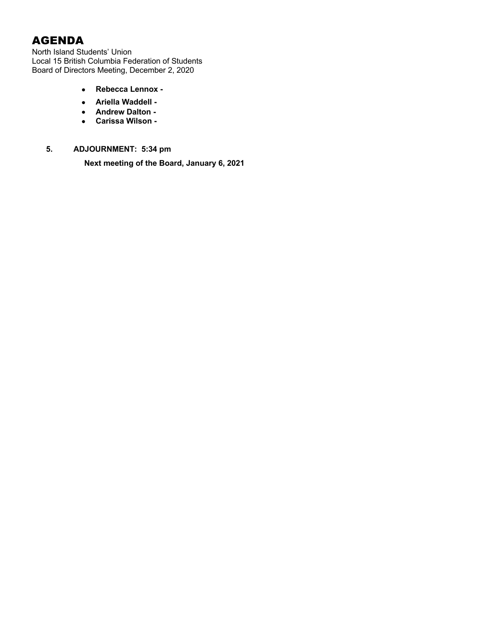North Island Students' Union Local 15 British Columbia Federation of Students Board of Directors Meeting, December 2, 2020

- **Rebecca Lennox -**
- **Ariella Waddell -**
- **Andrew Dalton -**
- **Carissa Wilson -**

## **5. ADJOURNMENT: 5:34 pm**

**Next meeting of the Board, January 6, 2021**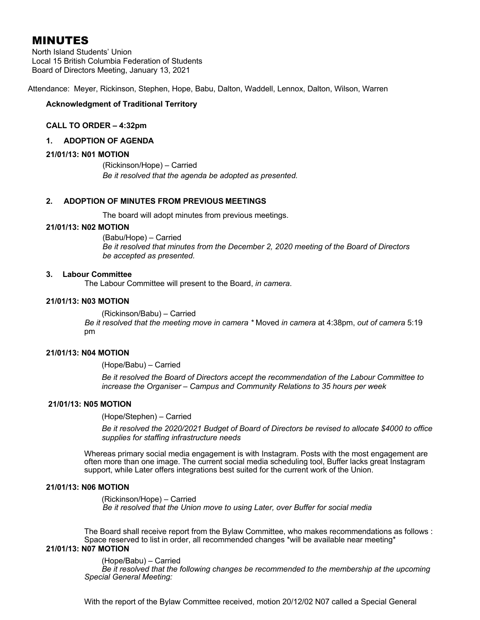North Island Students' Union Local 15 British Columbia Federation of Students Board of Directors Meeting, January 13, 2021

Attendance: Meyer, Rickinson, Stephen, Hope, Babu, Dalton, Waddell, Lennox, Dalton, Wilson, Warren

#### **Acknowledgment of Traditional Territory**

#### **CALL TO ORDER – 4:32pm**

#### **1. ADOPTION OF AGENDA**

#### **21/01/13: N01 MOTION**

(Rickinson/Hope) – Carried *Be it resolved that the agenda be adopted as presented.*

#### **2. ADOPTION OF MINUTES FROM PREVIOUS MEETINGS**

The board will adopt minutes from previous meetings.

#### **21/01/13: N02 MOTION**

(Babu/Hope) – Carried *Be it resolved that minutes from the December 2, 2020 meeting of the Board of Directors be accepted as presented.*

#### **3. Labour Committee**

The Labour Committee will present to the Board, *in camera*.

#### **21/01/13: N03 MOTION**

(Rickinson/Babu) – Carried *Be it resolved that the meeting move in camera \** Moved *in camera* at 4:38pm, *out of camera* 5:19 pm

#### **21/01/13: N04 MOTION**

(Hope/Babu) – Carried

*Be it resolved the Board of Directors accept the recommendation of the Labour Committee to increase the Organiser – Campus and Community Relations to 35 hours per week*

#### **21/01/13: N05 MOTION**

(Hope/Stephen) – Carried

*Be it resolved the 2020/2021 Budget of Board of Directors be revised to allocate \$4000 to office supplies for staffing infrastructure needs*

Whereas primary social media engagement is with Instagram. Posts with the most engagement are often more than one image. The current social media scheduling tool, Buffer lacks great Instagram support, while Later offers integrations best suited for the current work of the Union.

#### **21/01/13: N06 MOTION**

(Rickinson/Hope) – Carried *Be it resolved that the Union move to using Later, over Buffer for social media* 

The Board shall receive report from the Bylaw Committee, who makes recommendations as follows : Space reserved to list in order, all recommended changes \*will be available near meeting\*

#### **21/01/13: N07 MOTION**

(Hope/Babu) – Carried

*Be it resolved that the following changes be recommended to the membership at the upcoming Special General Meeting:*

With the report of the Bylaw Committee received, motion 20/12/02 N07 called a Special General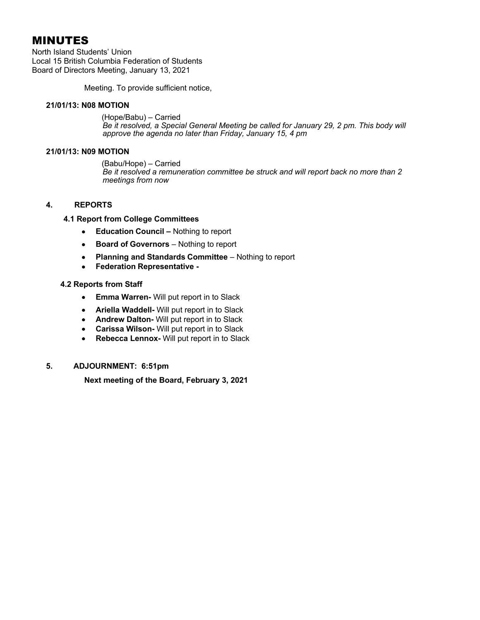North Island Students' Union Local 15 British Columbia Federation of Students Board of Directors Meeting, January 13, 2021

Meeting. To provide sufficient notice,

#### **21/01/13: N08 MOTION**

(Hope/Babu) – Carried *Be it resolved, a Special General Meeting be called for January 29, 2 pm. This body will approve the agenda no later than Friday, January 15, 4 pm* 

#### **21/01/13: N09 MOTION**

(Babu/Hope) – Carried *Be it resolved a remuneration committee be struck and will report back no more than 2 meetings from now*

## **4. REPORTS**

**4.1 Report from College Committees**

- **Education Council –** Nothing to report
- **Board of Governors** Nothing to report
- **Planning and Standards Committee** Nothing to report
- **Federation Representative -**

#### **4.2 Reports from Staff**

- **Emma Warren-** Will put report in to Slack
- **Ariella Waddell-** Will put report in to Slack
- **Andrew Dalton-** Will put report in to Slack
- **Carissa Wilson-** Will put report in to Slack
- **Rebecca Lennox-** Will put report in to Slack

## **5. ADJOURNMENT: 6:51pm**

**Next meeting of the Board, February 3, 2021**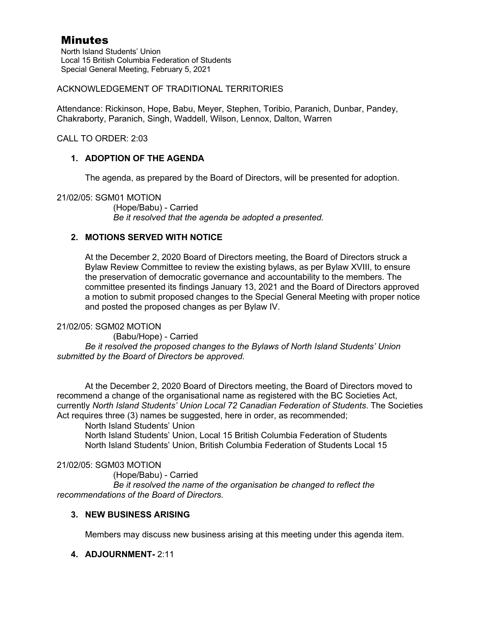North Island Students' Union Local 15 British Columbia Federation of Students Special General Meeting, February 5, 2021

## ACKNOWLEDGEMENT OF TRADITIONAL TERRITORIES

Attendance: Rickinson, Hope, Babu, Meyer, Stephen, Toribio, Paranich, Dunbar, Pandey, Chakraborty, Paranich, Singh, Waddell, Wilson, Lennox, Dalton, Warren

CALL TO ORDER: 2:03

## **1. ADOPTION OF THE AGENDA**

The agenda, as prepared by the Board of Directors, will be presented for adoption.

## 21/02/05: SGM01 MOTION

(Hope/Babu) - Carried *Be it resolved that the agenda be adopted a presented.* 

## **2. MOTIONS SERVED WITH NOTICE**

At the December 2, 2020 Board of Directors meeting, the Board of Directors struck a Bylaw Review Committee to review the existing bylaws, as per Bylaw XVIII, to ensure the preservation of democratic governance and accountability to the members. The committee presented its findings January 13, 2021 and the Board of Directors approved a motion to submit proposed changes to the Special General Meeting with proper notice and posted the proposed changes as per Bylaw IV.

## 21/02/05: SGM02 MOTION

(Babu/Hope) - Carried *Be it resolved the proposed changes to the Bylaws of North Island Students' Union submitted by the Board of Directors be approved.*

At the December 2, 2020 Board of Directors meeting, the Board of Directors moved to recommend a change of the organisational name as registered with the BC Societies Act, currently *North Island Students' Union Local 72 Canadian Federation of Students*. The Societies Act requires three (3) names be suggested, here in order, as recommended;

North Island Students' Union

North Island Students' Union, Local 15 British Columbia Federation of Students North Island Students' Union, British Columbia Federation of Students Local 15

## 21/02/05: SGM03 MOTION

(Hope/Babu) - Carried

*Be it resolved the name of the organisation be changed to reflect the recommendations of the Board of Directors.* 

## **3. NEW BUSINESS ARISING**

Members may discuss new business arising at this meeting under this agenda item.

## **4. ADJOURNMENT-** 2:11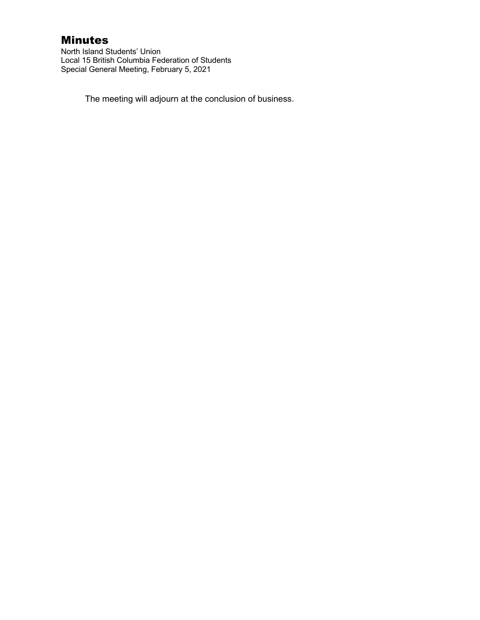North Island Students' Union Local 15 British Columbia Federation of Students Special General Meeting, February 5, 2021

The meeting will adjourn at the conclusion of business.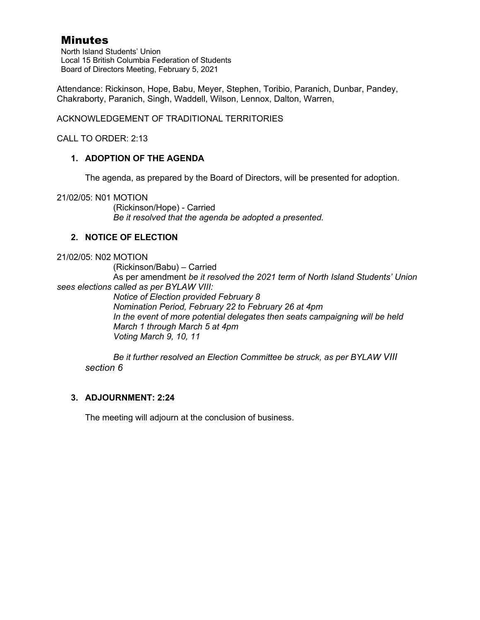North Island Students' Union Local 15 British Columbia Federation of Students Board of Directors Meeting, February 5, 2021

Attendance: Rickinson, Hope, Babu, Meyer, Stephen, Toribio, Paranich, Dunbar, Pandey, Chakraborty, Paranich, Singh, Waddell, Wilson, Lennox, Dalton, Warren,

ACKNOWLEDGEMENT OF TRADITIONAL TERRITORIES

CALL TO ORDER: 2:13

## **1. ADOPTION OF THE AGENDA**

The agenda, as prepared by the Board of Directors, will be presented for adoption.

21/02/05: N01 MOTION

(Rickinson/Hope) - Carried *Be it resolved that the agenda be adopted a presented.* 

## **2. NOTICE OF ELECTION**

## 21/02/05: N02 MOTION

(Rickinson/Babu) – Carried As per amendment *be it resolved the 2021 term of North Island Students' Union sees elections called as per BYLAW VIII:* 

*Notice of Election provided February 8 Nomination Period, February 22 to February 26 at 4pm In the event of more potential delegates then seats campaigning will be held March 1 through March 5 at 4pm Voting March 9, 10, 11*

*Be it further resolved an Election Committee be struck, as per BYLAW VIII section 6*

## **3. ADJOURNMENT: 2:24**

The meeting will adjourn at the conclusion of business.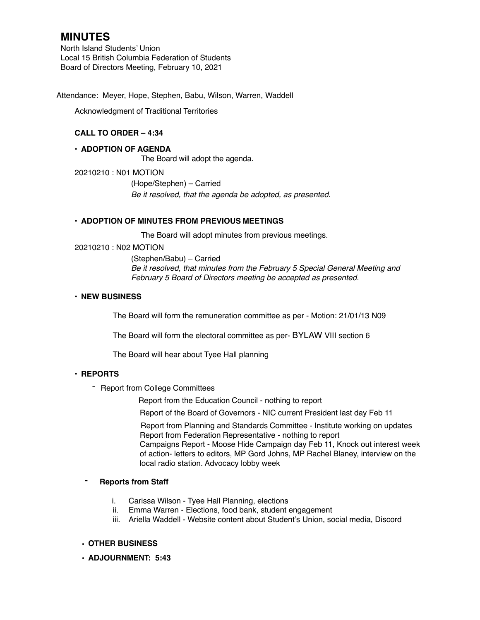North Island Students' Union Local 15 British Columbia Federation of Students Board of Directors Meeting, February 10, 2021

Attendance: Meyer, Hope, Stephen, Babu, Wilson, Warren, Waddell

Acknowledgment of Traditional Territories

## **CALL TO ORDER – 4:34**

#### **• ADOPTION OF AGENDA**

The Board will adopt the agenda.

20210210 : N01 MOTION

(Hope/Stephen) – Carried *Be it resolved, that the agenda be adopted, as presented.*

#### **• ADOPTION OF MINUTES FROM PREVIOUS MEETINGS**

The Board will adopt minutes from previous meetings.

#### 20210210 : N02 MOTION

(Stephen/Babu) – Carried *Be it resolved, that minutes from the February 5 Special General Meeting and February 5 Board of Directors meeting be accepted as presented.* 

#### **• NEW BUSINESS**

The Board will form the remuneration committee as per - Motion: 21/01/13 N09

The Board will form the electoral committee as per- BYLAW VIII section 6

The Board will hear about Tyee Hall planning

## **• REPORTS**

- Report from College Committees

Report from the Education Council - nothing to report

Report of the Board of Governors - NIC current President last day Feb 11

 Report from Planning and Standards Committee - Institute working on updates Report from Federation Representative - nothing to report

Campaigns Report - Moose Hide Campaign day Feb 11, Knock out interest week of action- letters to editors, MP Gord Johns, MP Rachel Blaney, interview on the local radio station. Advocacy lobby week

## **- Reports from Staff**

- i. Carissa Wilson Tyee Hall Planning, elections
- ii. Emma Warren Elections, food bank, student engagement
- iii. Ariella Waddell Website content about Student's Union, social media, Discord

## **• OTHER BUSINESS**

**• ADJOURNMENT: 5:43**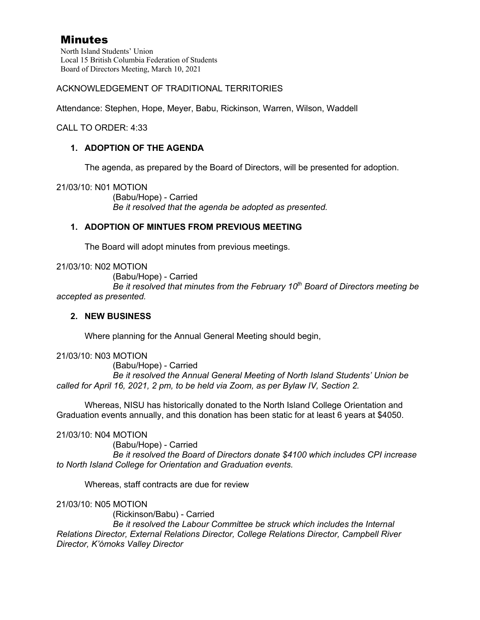North Island Students' Union Local 15 British Columbia Federation of Students Board of Directors Meeting, March 10, 2021

ACKNOWLEDGEMENT OF TRADITIONAL TERRITORIES

Attendance: Stephen, Hope, Meyer, Babu, Rickinson, Warren, Wilson, Waddell

CALL TO ORDER: 4:33

## **1. ADOPTION OF THE AGENDA**

The agenda, as prepared by the Board of Directors, will be presented for adoption.

21/03/10: N01 MOTION

(Babu/Hope) - Carried *Be it resolved that the agenda be adopted as presented.* 

## **1. ADOPTION OF MINTUES FROM PREVIOUS MEETING**

The Board will adopt minutes from previous meetings.

21/03/10: N02 MOTION

(Babu/Hope) - Carried

*Be it resolved that minutes from the February 10th Board of Directors meeting be accepted as presented.* 

## **2. NEW BUSINESS**

Where planning for the Annual General Meeting should begin,

21/03/10: N03 MOTION

(Babu/Hope) - Carried *Be it resolved the Annual General Meeting of North Island Students' Union be called for April 16, 2021, 2 pm, to be held via Zoom, as per Bylaw IV, Section 2.* 

Whereas, NISU has historically donated to the North Island College Orientation and Graduation events annually, and this donation has been static for at least 6 years at \$4050.

## 21/03/10: N04 MOTION

(Babu/Hope) - Carried

*Be it resolved the Board of Directors donate \$4100 which includes CPI increase to North Island College for Orientation and Graduation events.* 

Whereas, staff contracts are due for review

21/03/10: N05 MOTION

(Rickinson/Babu) - Carried

*Be it resolved the Labour Committee be struck which includes the Internal Relations Director, External Relations Director, College Relations Director, Campbell River Director, K'ómoks Valley Director*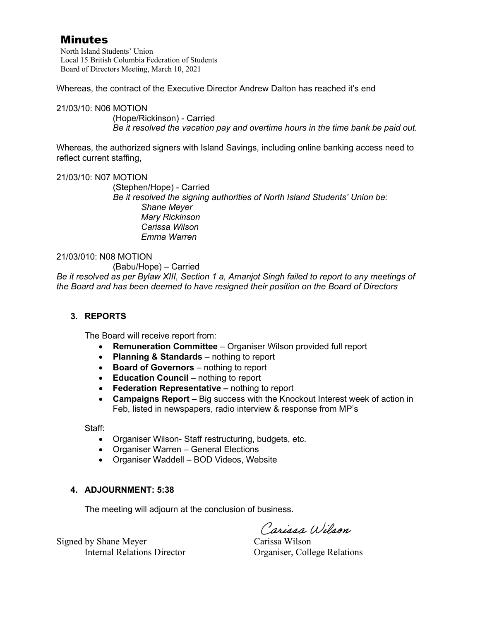North Island Students' Union Local 15 British Columbia Federation of Students Board of Directors Meeting, March 10, 2021

Whereas, the contract of the Executive Director Andrew Dalton has reached it's end

21/03/10: N06 MOTION (Hope/Rickinson) - Carried *Be it resolved the vacation pay and overtime hours in the time bank be paid out.* 

Whereas, the authorized signers with Island Savings, including online banking access need to reflect current staffing,

## 21/03/10: N07 MOTION

(Stephen/Hope) - Carried *Be it resolved the signing authorities of North Island Students' Union be: Shane Meyer Mary Rickinson Carissa Wilson Emma Warren* 

## 21/03/010: N08 MOTION

(Babu/Hope) – Carried

*Be it resolved as per Bylaw XIII, Section 1 a, Amanjot Singh failed to report to any meetings of the Board and has been deemed to have resigned their position on the Board of Directors*

## **3. REPORTS**

The Board will receive report from:

- **Remuneration Committee** Organiser Wilson provided full report
- **Planning & Standards** nothing to report
- **Board of Governors** nothing to report
- **Education Council**  nothing to report
- **Federation Representative** nothing to report
- **Campaigns Report** Big success with the Knockout Interest week of action in Feb, listed in newspapers, radio interview & response from MP's

Staff:

- Organiser Wilson- Staff restructuring, budgets, etc.
- Organiser Warren General Elections
- Organiser Waddell BOD Videos, Website

## **4. ADJOURNMENT: 5:38**

The meeting will adjourn at the conclusion of business.

Carissa Wilson

Internal Relations Director Organiser, College Relations

Signed by Shane Meyer Carissa Wilson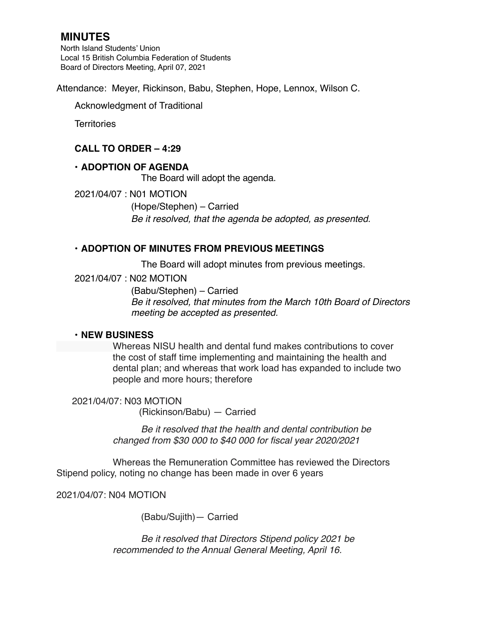North Island Students' Union Local 15 British Columbia Federation of Students Board of Directors Meeting, April 07, 2021

Attendance: Meyer, Rickinson, Babu, Stephen, Hope, Lennox, Wilson C.

Acknowledgment of Traditional

**Territories** 

## **CALL TO ORDER – 4:29**

## **• ADOPTION OF AGENDA**

The Board will adopt the agenda.

2021/04/07 : N01 MOTION

(Hope/Stephen) – Carried *Be it resolved, that the agenda be adopted, as presented.* 

## **• ADOPTION OF MINUTES FROM PREVIOUS MEETINGS**

The Board will adopt minutes from previous meetings.

2021/04/07 : N02 MOTION

(Babu/Stephen) – Carried *Be it resolved, that minutes from the March 10th Board of Directors meeting be accepted as presented.*

## **• NEW BUSINESS**

Whereas NISU health and dental fund makes contributions to cover the cost of staff time implementing and maintaining the health and dental plan; and whereas that work load has expanded to include two people and more hours; therefore

 2021/04/07: N03 MOTION (Rickinson/Babu) — Carried

> *Be it resolved that the health and dental contribution be changed from \$30 000 to \$40 000 for fiscal year 2020/2021*

Whereas the Remuneration Committee has reviewed the Directors Stipend policy, noting no change has been made in over 6 years

2021/04/07: N04 MOTION

(Babu/Sujith)— Carried

*Be it resolved that Directors Stipend policy 2021 be recommended to the Annual General Meeting, April 16.*